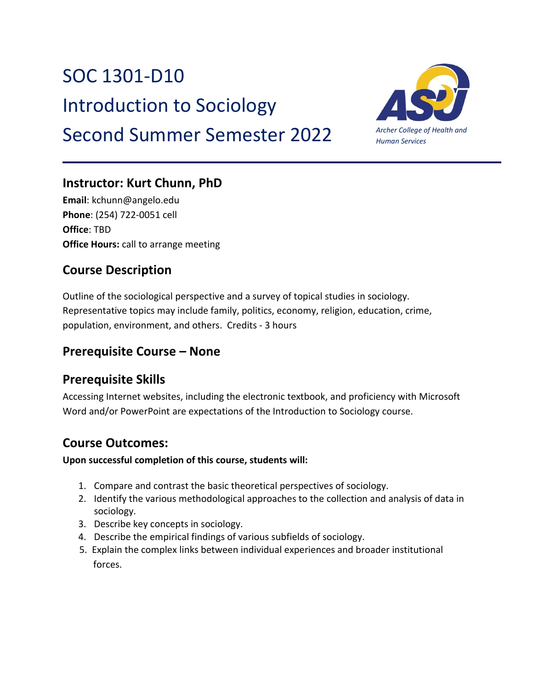# SOC 1301-D10

Introduction to Sociology

## Second Summer Semester 2022



### **Instructor: Kurt Chunn, PhD**

**Email**: kchunn@angelo.edu **Phone**: (254) 722-0051 cell **Office**: TBD **Office Hours:** call to arrange meeting

### **Course Description**

Outline of the sociological perspective and a survey of topical studies in sociology. Representative topics may include family, politics, economy, religion, education, crime, population, environment, and others. Credits - 3 hours

### **Prerequisite Course – None**

### **Prerequisite Skills**

Accessing Internet websites, including the electronic textbook, and proficiency with Microsoft Word and/or PowerPoint are expectations of the Introduction to Sociology course.

### **Course Outcomes:**

#### **Upon successful completion of this course, students will:**

- 1. Compare and contrast the basic theoretical perspectives of sociology.
- 2. Identify the various methodological approaches to the collection and analysis of data in sociology.
- 3. Describe key concepts in sociology.
- 4. Describe the empirical findings of various subfields of sociology.
- 5. Explain the complex links between individual experiences and broader institutional forces.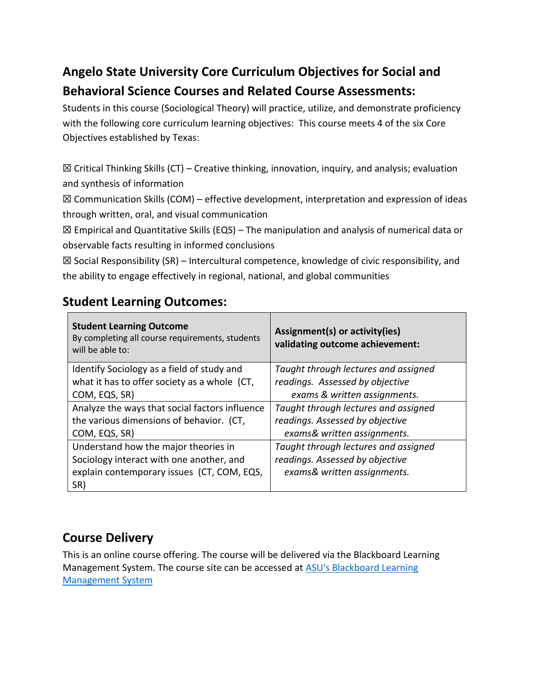### **Angelo State University Core Curriculum Objectives for Social and Behavioral Science Courses and Related Course Assessments:**

Students in this course (Sociological Theory) will practice, utilize, and demonstrate proficiency with the following core curriculum learning objectives: This course meets 4 of the six Core Objectives established by Texas:

 $\boxtimes$  Critical Thinking Skills (CT) – Creative thinking, innovation, inquiry, and analysis; evaluation and synthesis of information

 $\boxtimes$  Communication Skills (COM) – effective development, interpretation and expression of ideas through written, oral, and visual communication

☒ Empirical and Quantitative Skills (EQS) – The manipulation and analysis of numerical data or observable facts resulting in informed conclusions

 $\boxtimes$  Social Responsibility (SR) – Intercultural competence, knowledge of civic responsibility, and the ability to engage effectively in regional, national, and global communities

### **Student Learning Outcomes:**

| <b>Student Learning Outcome</b><br>By completing all course requirements, students<br>will be able to: | Assignment(s) or activity(ies)<br>validating outcome achievement: |
|--------------------------------------------------------------------------------------------------------|-------------------------------------------------------------------|
| Identify Sociology as a field of study and                                                             | Taught through lectures and assigned                              |
| what it has to offer society as a whole (CT,                                                           | readings. Assessed by objective                                   |
| COM, EQS, SR)                                                                                          | exams & written assignments.                                      |
| Analyze the ways that social factors influence                                                         | Taught through lectures and assigned                              |
| the various dimensions of behavior. (CT,                                                               | readings. Assessed by objective                                   |
| COM, EQS, SR)                                                                                          | exams& written assignments.                                       |
| Understand how the major theories in                                                                   | Taught through lectures and assigned                              |
| Sociology interact with one another, and                                                               | readings. Assessed by objective                                   |
| explain contemporary issues (CT, COM, EQS,                                                             | exams& written assignments.                                       |
| SR)                                                                                                    |                                                                   |

### **Course Delivery**

This is an online course offering. The course will be delivered via the Blackboard Learning Management System. The course site can be accessed at [ASU's Blackboard Learning](about:blank)  [Management System](about:blank)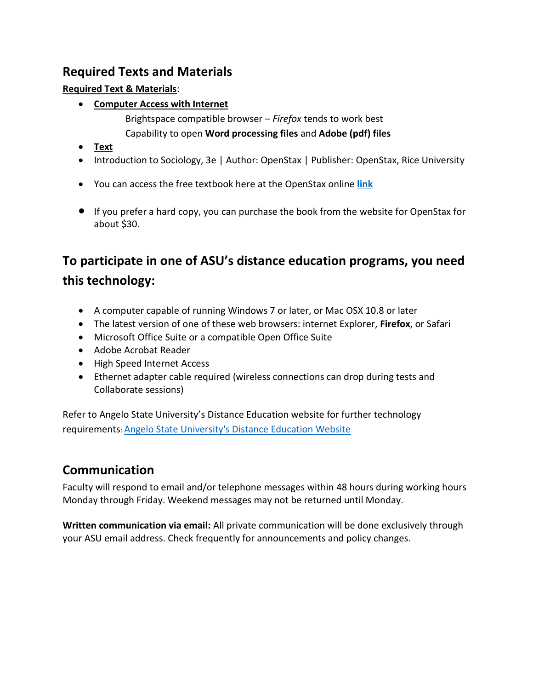### **Required Texts and Materials**

#### **Required Text & Materials**:

- **Computer Access with Internet**
	- Brightspace compatible browser *Firefox* tends to work best Capability to open **Word processing files** and **Adobe (pdf) files**
- **Text**
- Introduction to Sociology, 3e | Author: OpenStax | Publisher: OpenStax, Rice University
- You can access the free textbook here at the OpenStax online **[link](https://openstax.org/details/books/introduction-sociology-3e)**
- If you prefer a hard copy, you can purchase the book from the website for OpenStax for about \$30.

### **To participate in one of ASU's distance education programs, you need this technology:**

- A computer capable of running Windows 7 or later, or Mac OSX 10.8 or later
- The latest version of one of these web browsers: internet Explorer, **Firefox**, or Safari
- Microsoft Office Suite or a compatible Open Office Suite
- Adobe Acrobat Reader
- High Speed Internet Access
- Ethernet adapter cable required (wireless connections can drop during tests and Collaborate sessions)

Refer to Angelo State University's Distance Education website for further technology requirements*:* [Angelo State University's Distance Education Website](about:blank)

### **Communication**

Faculty will respond to email and/or telephone messages within 48 hours during working hours Monday through Friday. Weekend messages may not be returned until Monday.

**Written communication via email:** All private communication will be done exclusively through your ASU email address. Check frequently for announcements and policy changes.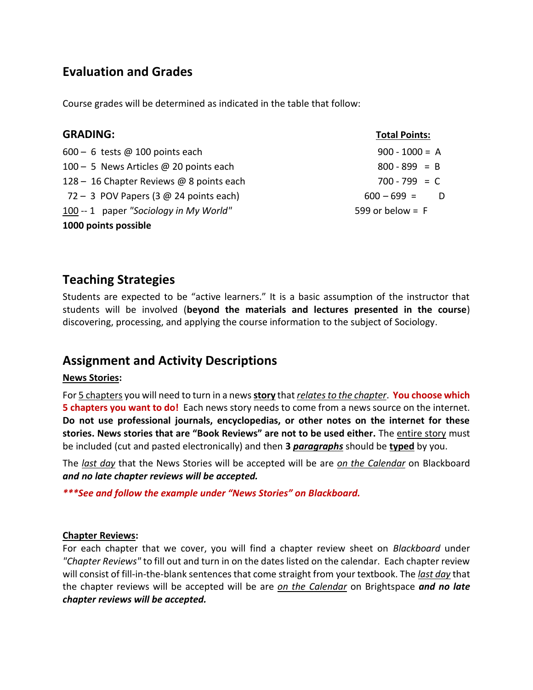### **Evaluation and Grades**

Course grades will be determined as indicated in the table that follow:

| <b>GRADING:</b>                          | <b>Total Points:</b> |
|------------------------------------------|----------------------|
| $600 - 6$ tests @ 100 points each        | $900 - 1000 = A$     |
| 100 - 5 News Articles @ 20 points each   | $800 - 899 = B$      |
| 128 - 16 Chapter Reviews @ 8 points each | $700 - 799 = C$      |
| 72 - 3 POV Papers (3 $@$ 24 points each) | $600 - 699 =$        |
| 100 -- 1 paper "Sociology in My World"   | 599 or below = $F$   |
| 1000 points possible                     |                      |

### **Teaching Strategies**

Students are expected to be "active learners." It is a basic assumption of the instructor that students will be involved (**beyond the materials and lectures presented in the course**) discovering, processing, and applying the course information to the subject of Sociology.

### **Assignment and Activity Descriptions**

#### **News Stories:**

For 5 chapters you will need to turn in a news **story** that *relates to the chapter*. **You choose which 5 chapters you want to do!** Each news story needs to come from a news source on the internet. **Do not use professional journals, encyclopedias, or other notes on the internet for these stories. News stories that are "Book Reviews" are not to be used either.** The entire story must be included (cut and pasted electronically) and then **3** *paragraphs* should be **typed** by you.

The *last day* that the News Stories will be accepted will be are *on the Calendar* on Blackboard *and no late chapter reviews will be accepted.*

*\*\*\*See and follow the example under "News Stories" on Blackboard.* 

#### **Chapter Reviews:**

For each chapter that we cover, you will find a chapter review sheet on *Blackboard* under *"Chapter Reviews"* to fill out and turn in on the dates listed on the calendar. Each chapter review will consist of fill-in-the-blank sentences that come straight from your textbook. The *last day* that the chapter reviews will be accepted will be are *on the Calendar* on Brightspace *and no late chapter reviews will be accepted.*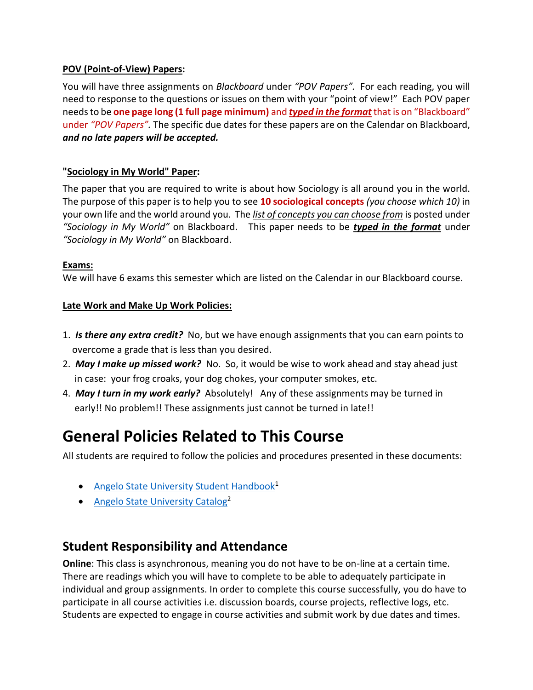#### **POV (Point-of-View) Papers:**

You will have three assignments on *Blackboard* under *"POV Papers".* For each reading, you will need to response to the questions or issues on them with your "point of view!" Each POV paper needs to be **one page long (1 full page minimum)** and *typed in the format* that is on "Blackboard" under *"POV Papers".* The specific due dates for these papers are on the Calendar on Blackboard, *and no late papers will be accepted.*

#### **"Sociology in My World" Paper:**

The paper that you are required to write is about how Sociology is all around you in the world. The purpose of this paper is to help you to see **10 sociological concepts** *(you choose which 10)* in your own life and the world around you. The *list of concepts you can choose from* is posted under *"Sociology in My World"* on Blackboard. This paper needs to be *typed in the format* under *"Sociology in My World"* on Blackboard.

#### **Exams:**

We will have 6 exams this semester which are listed on the Calendar in our Blackboard course.

#### **Late Work and Make Up Work Policies:**

- 1.*Is there any extra credit?*No, but we have enough assignments that you can earn points to overcome a grade that is less than you desired.
- 2. *May I make up missed work?* No. So, it would be wise to work ahead and stay ahead just in case: your frog croaks, your dog chokes, your computer smokes, etc.
- 4. *May I turn in my work early?* Absolutely! Any of these assignments may be turned in early!! No problem!! These assignments just cannot be turned in late!!

### **General Policies Related to This Course**

All students are required to follow the policies and procedures presented in these documents:

- [Angelo State University Student Handbook](http://www.angelo.edu/student-handbook/)<sup>1</sup>
- [Angelo State University Catalog](http://www.angelo.edu/catalogs/)<sup>2</sup>

### **Student Responsibility and Attendance**

**Online**: This class is asynchronous, meaning you do not have to be on-line at a certain time. There are readings which you will have to complete to be able to adequately participate in individual and group assignments. In order to complete this course successfully, you do have to participate in all course activities i.e. discussion boards, course projects, reflective logs, etc. Students are expected to engage in course activities and submit work by due dates and times.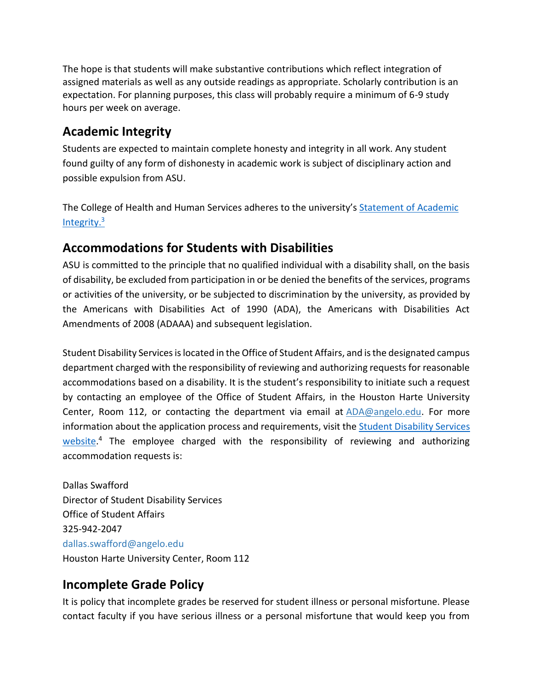The hope is that students will make substantive contributions which reflect integration of assigned materials as well as any outside readings as appropriate. Scholarly contribution is an expectation. For planning purposes, this class will probably require a minimum of 6-9 study hours per week on average.

### **Academic Integrity**

Students are expected to maintain complete honesty and integrity in all work. Any student found guilty of any form of dishonesty in academic work is subject of disciplinary action and possible expulsion from ASU.

The College of Health and Human Services adheres to the university's [Statement of](https://www.angelo.edu/student-handbook/community-policies/academic-integrity.php) [Academic](https://www.angelo.edu/student-handbook/community-policies/academic-integrity.php)  [Integrity.](https://www.angelo.edu/student-handbook/community-policies/academic-integrity.php)<sup>3</sup>

### **Accommodations for Students with Disabilities**

ASU is committed to the principle that no qualified individual with a disability shall, on the basis of disability, be excluded from participation in or be denied the benefits of the services, programs or activities of the university, or be subjected to discrimination by the university, as provided by the Americans with Disabilities Act of 1990 (ADA), the Americans with Disabilities Act Amendments of 2008 (ADAAA) and subsequent legislation.

Student Disability Services is located in the Office of Student Affairs, and is the designated campus department charged with the responsibility of reviewing and authorizing requests for reasonable accommodations based on a disability. It is the student's responsibility to initiate such a request by contacting an employee of the Office of Student Affairs, in the Houston Harte University Center, Room 112, or contacting the department via email at [ADA@angelo.edu.](mailto:ADA@angelo.edu) For more information about the application process and requirements, visit the Student Disability Services [website.](https://www.angelo.edu/services/disability-services/)<sup>4</sup> The employee charged with the responsibility of reviewing and authorizing accommodation requests is:

Dallas Swafford Director of Student Disability Services Office of Student Affairs 325-942-2047 dallas.swafford@angelo.edu Houston Harte University Center, Room 112

### **Incomplete Grade Policy**

It is policy that incomplete grades be reserved for student illness or personal misfortune. Please contact faculty if you have serious illness or a personal misfortune that would keep you from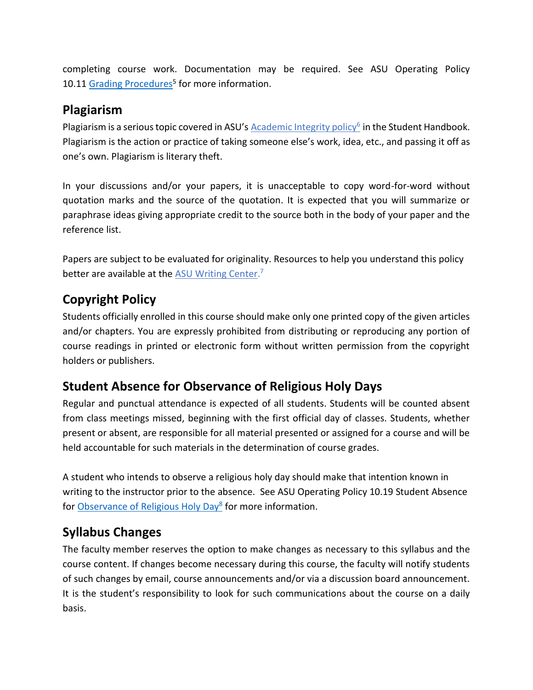completing course work. Documentation may be required. See ASU Operating Policy 10.11 [Grading Procedures](http://www.angelo.edu/content/files/14197-op-1011-grading-procedures)<sup>5</sup> for more information.

### **Plagiarism**

Plagiarism is a serious topic covered in ASU's **[Academic Integrity policy](http://www.angelo.edu/student-handbook/community-policies/academic-integrity.php)<sup>6</sup> in the Student Handbook**. Plagiarism is the action or practice of taking someone else's work, idea, etc., and passing it off as one's own. Plagiarism is literary theft.

In your discussions and/or your papers, it is unacceptable to copy word-for-word without quotation marks and the source of the quotation. It is expected that you will summarize or paraphrase ideas giving appropriate credit to the source both in the body of your paper and the reference list.

Papers are subject to be evaluated for originality. Resources to help you understand this policy better are available at the **[ASU Writing Center.](http://www.angelo.edu/dept/writing_center/academic_honesty.php)**<sup>7</sup>

### **Copyright Policy**

Students officially enrolled in this course should make only one printed copy of the given articles and/or chapters. You are expressly prohibited from distributing or reproducing any portion of course readings in printed or electronic form without written permission from the copyright holders or publishers.

### **Student Absence for Observance of Religious Holy Days**

Regular and punctual attendance is expected of all students. Students will be counted absent from class meetings missed, beginning with the first official day of classes. Students, whether present or absent, are responsible for all material presented or assigned for a course and will be held accountable for such materials in the determination of course grades.

A student who intends to observe a religious holy day should make that intention known in writing to the instructor prior to the absence. See ASU Operating Policy 10.19 Student Absence for [Observance of Religious Holy Day](http://www.angelo.edu/content/files/14206-op-1019-student-absence-for-observance-of)<sup>8</sup> for more information.

### **Syllabus Changes**

The faculty member reserves the option to make changes as necessary to this syllabus and the course content. If changes become necessary during this course, the faculty will notify students of such changes by email, course announcements and/or via a discussion board announcement. It is the student's responsibility to look for such communications about the course on a daily basis.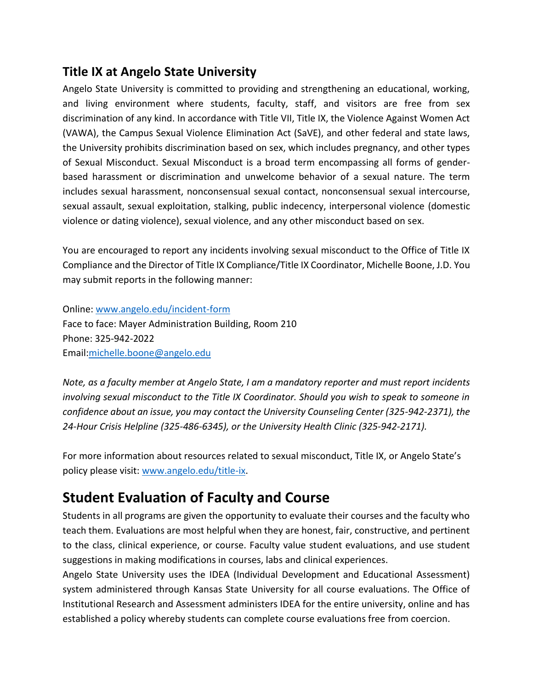### **Title IX at Angelo State University**

Angelo State University is committed to providing and strengthening an educational, working, and living environment where students, faculty, staff, and visitors are free from sex discrimination of any kind. In accordance with Title VII, Title IX, the Violence Against Women Act (VAWA), the Campus Sexual Violence Elimination Act (SaVE), and other federal and state laws, the University prohibits discrimination based on sex, which includes pregnancy, and other types of Sexual Misconduct. Sexual Misconduct is a broad term encompassing all forms of genderbased harassment or discrimination and unwelcome behavior of a sexual nature. The term includes sexual harassment, nonconsensual sexual contact, nonconsensual sexual intercourse, sexual assault, sexual exploitation, stalking, public indecency, interpersonal violence (domestic violence or dating violence), sexual violence, and any other misconduct based on sex.

You are encouraged to report any incidents involving sexual misconduct to the Office of Title IX Compliance and the Director of Title IX Compliance/Title IX Coordinator, Michelle Boone, J.D. You may submit reports in the following manner:

Online: [www.angelo.edu/incident-form](http://www.angelo.edu/incident-form) Face to face: Mayer Administration Building, Room 210 Phone: 325-942-2022 Email[:michelle.boone@angelo.edu](mailto:michelle.boone@angelo.edu)

*Note, as a faculty member at Angelo State, I am a mandatory reporter and must report incidents involving sexual misconduct to the Title IX Coordinator. Should you wish to speak to someone in confidence about an issue, you may contact the University Counseling Center (325-942-2371), the 24-Hour Crisis Helpline (325-486-6345), or the University Health Clinic (325-942-2171).*

For more information about resources related to sexual misconduct, Title IX, or Angelo State's policy please visit: [www.angelo.edu/title-ix.](http://www.angelo.edu/title-ix)

### **Student Evaluation of Faculty and Course**

Students in all programs are given the opportunity to evaluate their courses and the faculty who teach them. Evaluations are most helpful when they are honest, fair, constructive, and pertinent to the class, clinical experience, or course. Faculty value student evaluations, and use student suggestions in making modifications in courses, labs and clinical experiences.

Angelo State University uses the IDEA (Individual Development and Educational Assessment) system administered through Kansas State University for all course evaluations. The Office of Institutional Research and Assessment administers IDEA for the entire university, online and has established a policy whereby students can complete course evaluations free from coercion.